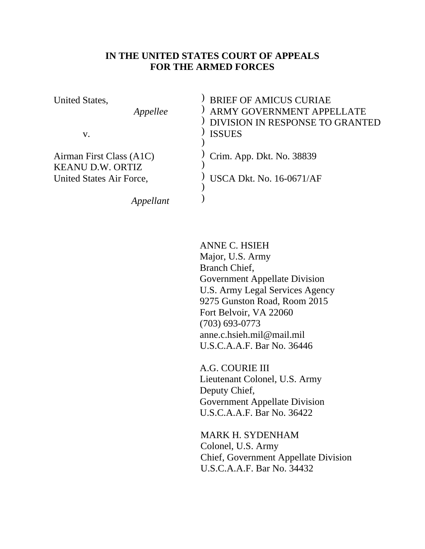#### **IN THE UNITED STATES COURT OF APPEALS FOR THE ARMED FORCES**

| United States,<br>Appellee<br>V.                                                | <b>BRIEF OF AMICUS CURIAE</b><br><b>ARMY GOVERNMENT APPELLATE</b><br>DIVISION IN RESPONSE TO GRANTED<br><b>ISSUES</b> |
|---------------------------------------------------------------------------------|-----------------------------------------------------------------------------------------------------------------------|
| Airman First Class (A1C)<br><b>KEANU D.W. ORTIZ</b><br>United States Air Force, | Crim. App. Dkt. No. 38839<br><b>USCA Dkt. No. 16-0671/AF</b>                                                          |
|                                                                                 |                                                                                                                       |

ANNE C. HSIEH Major, U.S. Army Branch Chief, Government Appellate Division U.S. Army Legal Services Agency 9275 Gunston Road, Room 2015 Fort Belvoir, VA 22060 (703) 693-0773 anne.c.hsieh.mil@mail.mil U.S.C.A.A.F. Bar No. 36446

 A.G. COURIE III Lieutenant Colonel, U.S. Army Deputy Chief, Government Appellate Division U.S.C.A.A.F. Bar No. 36422

 MARK H. SYDENHAM Colonel, U.S. Army Chief, Government Appellate Division U.S.C.A.A.F. Bar No. 34432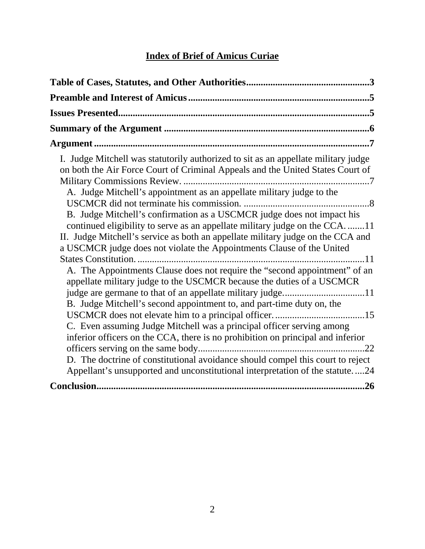# **Index of Brief of Amicus Curiae**

| I. Judge Mitchell was statutorily authorized to sit as an appellate military judge<br>on both the Air Force Court of Criminal Appeals and the United States Court of<br>A. Judge Mitchell's appointment as an appellate military judge to the<br>B. Judge Mitchell's confirmation as a USCMCR judge does not impact his<br>continued eligibility to serve as an appellate military judge on the CCA11                                                                                                                                    |
|------------------------------------------------------------------------------------------------------------------------------------------------------------------------------------------------------------------------------------------------------------------------------------------------------------------------------------------------------------------------------------------------------------------------------------------------------------------------------------------------------------------------------------------|
| II. Judge Mitchell's service as both an appellate military judge on the CCA and<br>a USCMCR judge does not violate the Appointments Clause of the United                                                                                                                                                                                                                                                                                                                                                                                 |
| A. The Appointments Clause does not require the "second appointment" of an<br>appellate military judge to the USCMCR because the duties of a USCMCR<br>judge are germane to that of an appellate military judge11<br>B. Judge Mitchell's second appointment to, and part-time duty on, the<br>C. Even assuming Judge Mitchell was a principal officer serving among<br>inferior officers on the CCA, there is no prohibition on principal and inferior<br>D. The doctrine of constitutional avoidance should compel this court to reject |
| Appellant's unsupported and unconstitutional interpretation of the statute24                                                                                                                                                                                                                                                                                                                                                                                                                                                             |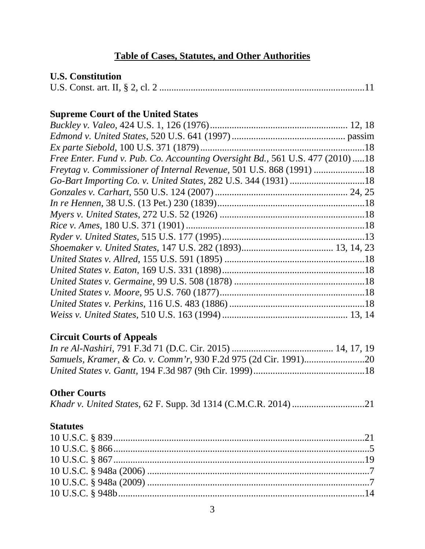# **Table of Cases, Statutes, and Other Authorities**

## **U.S. Constitution**

|--|--|--|

# **Supreme Court of the United States**

| Free Enter. Fund v. Pub. Co. Accounting Oversight Bd., 561 U.S. 477 (2010)18 |  |
|------------------------------------------------------------------------------|--|
| Freytag v. Commissioner of Internal Revenue, 501 U.S. 868 (1991) 18          |  |
|                                                                              |  |
|                                                                              |  |
|                                                                              |  |
|                                                                              |  |
|                                                                              |  |
|                                                                              |  |
|                                                                              |  |
|                                                                              |  |
|                                                                              |  |
|                                                                              |  |
|                                                                              |  |
|                                                                              |  |
|                                                                              |  |

# **Circuit Courts of Appeals**

# **Other Courts**

|--|--|--|--|--|--|--|

## **Statutes**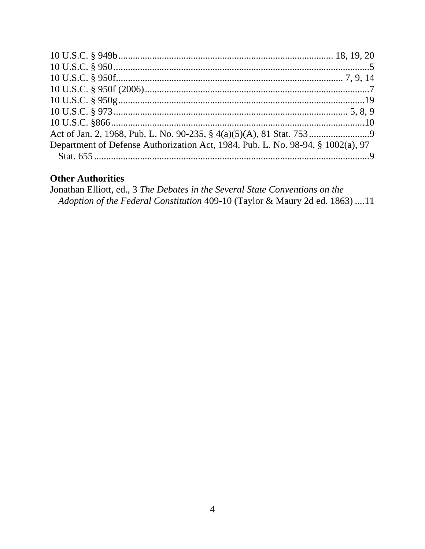| Department of Defense Authorization Act, 1984, Pub. L. No. 98-94, § 1002(a), 97 |  |
|---------------------------------------------------------------------------------|--|
|                                                                                 |  |

## **Other Authorities**

Jonathan Elliott, ed., 3 The Debates in the Several State Conventions on the Adoption of the Federal Constitution 409-10 (Taylor & Maury 2d ed. 1863) ....11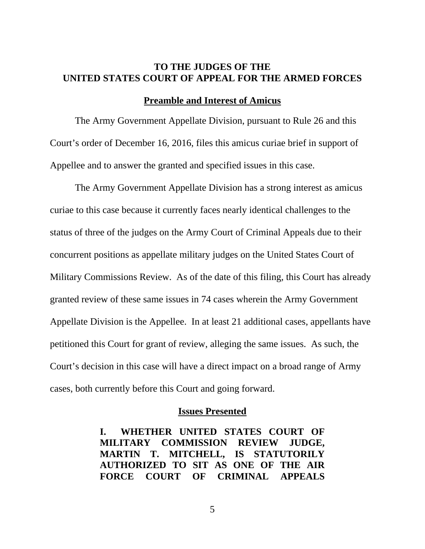#### **TO THE JUDGES OF THE UNITED STATES COURT OF APPEAL FOR THE ARMED FORCES**

#### **Preamble and Interest of Amicus**

The Army Government Appellate Division, pursuant to Rule 26 and this Court's order of December 16, 2016, files this amicus curiae brief in support of Appellee and to answer the granted and specified issues in this case.

The Army Government Appellate Division has a strong interest as amicus curiae to this case because it currently faces nearly identical challenges to the status of three of the judges on the Army Court of Criminal Appeals due to their concurrent positions as appellate military judges on the United States Court of Military Commissions Review. As of the date of this filing, this Court has already granted review of these same issues in 74 cases wherein the Army Government Appellate Division is the Appellee. In at least 21 additional cases, appellants have petitioned this Court for grant of review, alleging the same issues. As such, the Court's decision in this case will have a direct impact on a broad range of Army cases, both currently before this Court and going forward.

#### **Issues Presented**

**I. WHETHER UNITED STATES COURT OF MILITARY COMMISSION REVIEW JUDGE, MARTIN T. MITCHELL, IS STATUTORILY AUTHORIZED TO SIT AS ONE OF THE AIR FORCE COURT OF CRIMINAL APPEALS**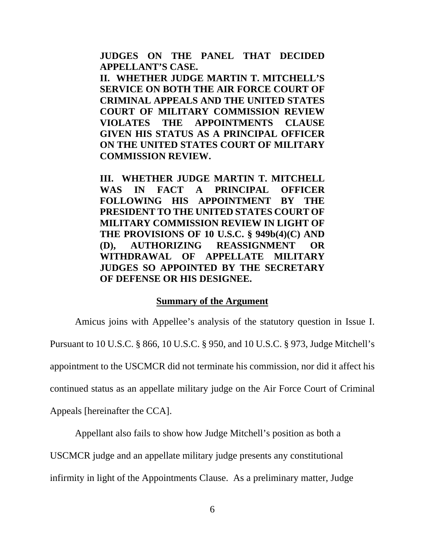**JUDGES ON THE PANEL THAT DECIDED APPELLANT'S CASE.** 

**II. WHETHER JUDGE MARTIN T. MITCHELL'S SERVICE ON BOTH THE AIR FORCE COURT OF CRIMINAL APPEALS AND THE UNITED STATES COURT OF MILITARY COMMISSION REVIEW VIOLATES THE APPOINTMENTS CLAUSE GIVEN HIS STATUS AS A PRINCIPAL OFFICER ON THE UNITED STATES COURT OF MILITARY COMMISSION REVIEW.** 

**III. WHETHER JUDGE MARTIN T. MITCHELL WAS IN FACT A PRINCIPAL OFFICER FOLLOWING HIS APPOINTMENT BY THE PRESIDENT TO THE UNITED STATES COURT OF MILITARY COMMISSION REVIEW IN LIGHT OF THE PROVISIONS OF 10 U.S.C. § 949b(4)(C) AND (D), AUTHORIZING REASSIGNMENT OR WITHDRAWAL OF APPELLATE MILITARY JUDGES SO APPOINTED BY THE SECRETARY OF DEFENSE OR HIS DESIGNEE.** 

#### **Summary of the Argument**

Amicus joins with Appellee's analysis of the statutory question in Issue I. Pursuant to 10 U.S.C. § 866, 10 U.S.C. § 950, and 10 U.S.C. § 973, Judge Mitchell's appointment to the USCMCR did not terminate his commission, nor did it affect his continued status as an appellate military judge on the Air Force Court of Criminal Appeals [hereinafter the CCA].

Appellant also fails to show how Judge Mitchell's position as both a

USCMCR judge and an appellate military judge presents any constitutional

infirmity in light of the Appointments Clause. As a preliminary matter, Judge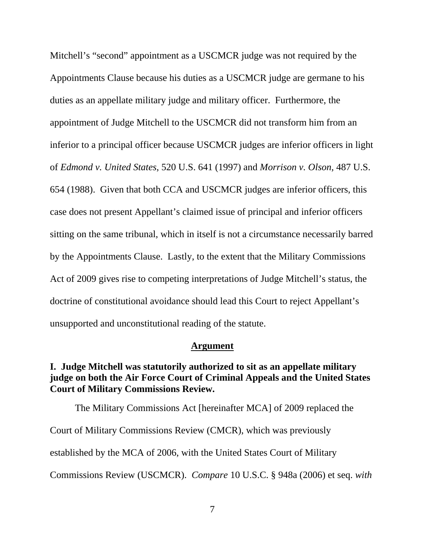Mitchell's "second" appointment as a USCMCR judge was not required by the Appointments Clause because his duties as a USCMCR judge are germane to his duties as an appellate military judge and military officer. Furthermore, the appointment of Judge Mitchell to the USCMCR did not transform him from an inferior to a principal officer because USCMCR judges are inferior officers in light of *Edmond v. United States*, 520 U.S. 641 (1997) and *Morrison v. Olson*, 487 U.S. 654 (1988).Given that both CCA and USCMCR judges are inferior officers, this case does not present Appellant's claimed issue of principal and inferior officers sitting on the same tribunal, which in itself is not a circumstance necessarily barred by the Appointments Clause. Lastly, to the extent that the Military Commissions Act of 2009 gives rise to competing interpretations of Judge Mitchell's status, the doctrine of constitutional avoidance should lead this Court to reject Appellant's unsupported and unconstitutional reading of the statute.

#### **Argument**

#### **I. Judge Mitchell was statutorily authorized to sit as an appellate military judge on both the Air Force Court of Criminal Appeals and the United States Court of Military Commissions Review.**

The Military Commissions Act [hereinafter MCA] of 2009 replaced the Court of Military Commissions Review (CMCR), which was previously established by the MCA of 2006, with the United States Court of Military Commissions Review (USCMCR). *Compare* 10 U.S.C. § 948a (2006) et seq. *with*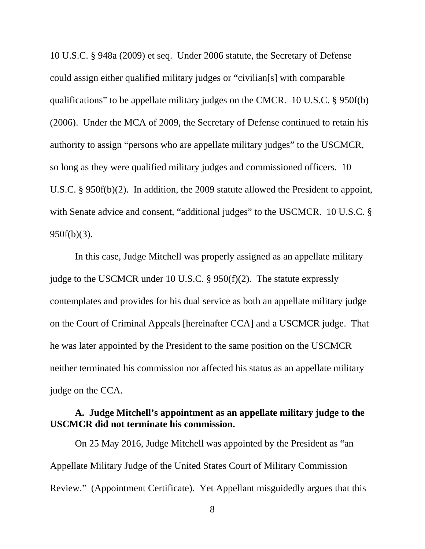10 U.S.C. § 948a (2009) et seq. Under 2006 statute, the Secretary of Defense could assign either qualified military judges or "civilian[s] with comparable qualifications" to be appellate military judges on the CMCR. 10 U.S.C. § 950f(b) (2006). Under the MCA of 2009, the Secretary of Defense continued to retain his authority to assign "persons who are appellate military judges" to the USCMCR, so long as they were qualified military judges and commissioned officers. 10 U.S.C. § 950f(b)(2). In addition, the 2009 statute allowed the President to appoint, with Senate advice and consent, "additional judges" to the USCMCR. 10 U.S.C. § 950f(b)(3).

 In this case, Judge Mitchell was properly assigned as an appellate military judge to the USCMCR under 10 U.S.C. § 950(f)(2). The statute expressly contemplates and provides for his dual service as both an appellate military judge on the Court of Criminal Appeals [hereinafter CCA] and a USCMCR judge. That he was later appointed by the President to the same position on the USCMCR neither terminated his commission nor affected his status as an appellate military judge on the CCA.

## **A. Judge Mitchell's appointment as an appellate military judge to the USCMCR did not terminate his commission.**

 On 25 May 2016, Judge Mitchell was appointed by the President as "an Appellate Military Judge of the United States Court of Military Commission Review." (Appointment Certificate). Yet Appellant misguidedly argues that this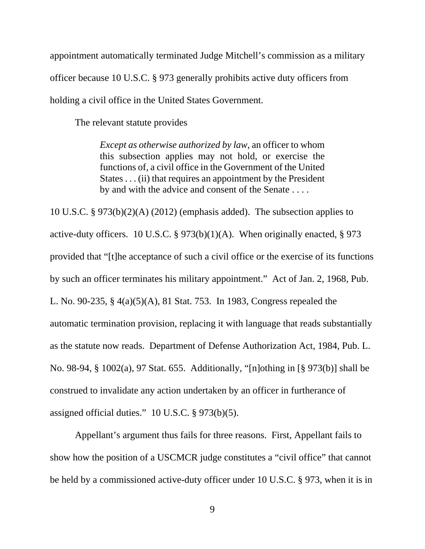appointment automatically terminated Judge Mitchell's commission as a military officer because 10 U.S.C. § 973 generally prohibits active duty officers from holding a civil office in the United States Government.

The relevant statute provides

*Except as otherwise authorized by law*, an officer to whom this subsection applies may not hold, or exercise the functions of, a civil office in the Government of the United States . . . (ii) that requires an appointment by the President by and with the advice and consent of the Senate . . . .

10 U.S.C. § 973(b)(2)(A) (2012) (emphasis added). The subsection applies to active-duty officers. 10 U.S.C. § 973(b)(1)(A). When originally enacted, § 973 provided that "[t]he acceptance of such a civil office or the exercise of its functions by such an officer terminates his military appointment." Act of Jan. 2, 1968, Pub. L. No. 90-235, § 4(a)(5)(A), 81 Stat. 753. In 1983, Congress repealed the automatic termination provision, replacing it with language that reads substantially as the statute now reads. Department of Defense Authorization Act, 1984, Pub. L. No. 98-94, § 1002(a), 97 Stat. 655. Additionally, "[n]othing in [§ 973(b)] shall be construed to invalidate any action undertaken by an officer in furtherance of assigned official duties." 10 U.S.C. § 973(b)(5).

 Appellant's argument thus fails for three reasons. First, Appellant fails to show how the position of a USCMCR judge constitutes a "civil office" that cannot be held by a commissioned active-duty officer under 10 U.S.C. § 973, when it is in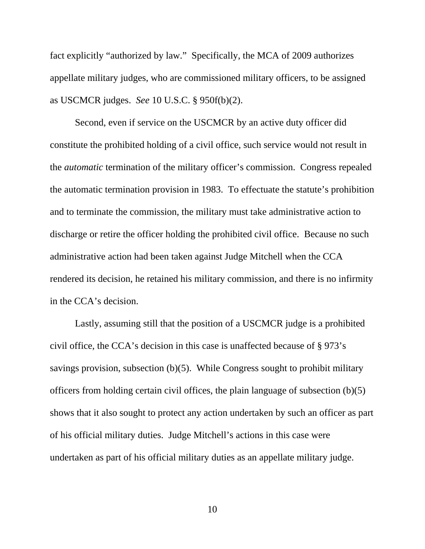fact explicitly "authorized by law." Specifically, the MCA of 2009 authorizes appellate military judges, who are commissioned military officers, to be assigned as USCMCR judges. *See* 10 U.S.C. § 950f(b)(2).

Second, even if service on the USCMCR by an active duty officer did constitute the prohibited holding of a civil office, such service would not result in the *automatic* termination of the military officer's commission. Congress repealed the automatic termination provision in 1983. To effectuate the statute's prohibition and to terminate the commission, the military must take administrative action to discharge or retire the officer holding the prohibited civil office. Because no such administrative action had been taken against Judge Mitchell when the CCA rendered its decision, he retained his military commission, and there is no infirmity in the CCA's decision.

 Lastly, assuming still that the position of a USCMCR judge is a prohibited civil office, the CCA's decision in this case is unaffected because of § 973's savings provision, subsection (b)(5). While Congress sought to prohibit military officers from holding certain civil offices, the plain language of subsection (b)(5) shows that it also sought to protect any action undertaken by such an officer as part of his official military duties. Judge Mitchell's actions in this case were undertaken as part of his official military duties as an appellate military judge.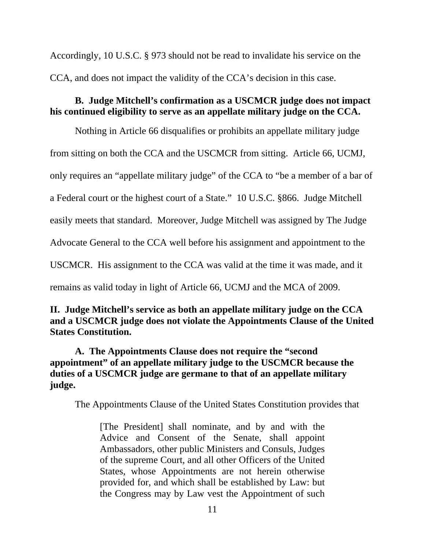Accordingly, 10 U.S.C. § 973 should not be read to invalidate his service on the CCA, and does not impact the validity of the CCA's decision in this case.

# **B. Judge Mitchell's confirmation as a USCMCR judge does not impact his continued eligibility to serve as an appellate military judge on the CCA.**

Nothing in Article 66 disqualifies or prohibits an appellate military judge from sitting on both the CCA and the USCMCR from sitting. Article 66, UCMJ, only requires an "appellate military judge" of the CCA to "be a member of a bar of a Federal court or the highest court of a State." 10 U.S.C. §866. Judge Mitchell easily meets that standard. Moreover, Judge Mitchell was assigned by The Judge Advocate General to the CCA well before his assignment and appointment to the USCMCR. His assignment to the CCA was valid at the time it was made, and it remains as valid today in light of Article 66, UCMJ and the MCA of 2009.

# **II. Judge Mitchell's service as both an appellate military judge on the CCA and a USCMCR judge does not violate the Appointments Clause of the United States Constitution.**

**A. The Appointments Clause does not require the "second appointment" of an appellate military judge to the USCMCR because the duties of a USCMCR judge are germane to that of an appellate military judge.** 

The Appointments Clause of the United States Constitution provides that

[The President] shall nominate, and by and with the Advice and Consent of the Senate, shall appoint Ambassadors, other public Ministers and Consuls, Judges of the supreme Court, and all other Officers of the United States, whose Appointments are not herein otherwise provided for, and which shall be established by Law: but the Congress may by Law vest the Appointment of such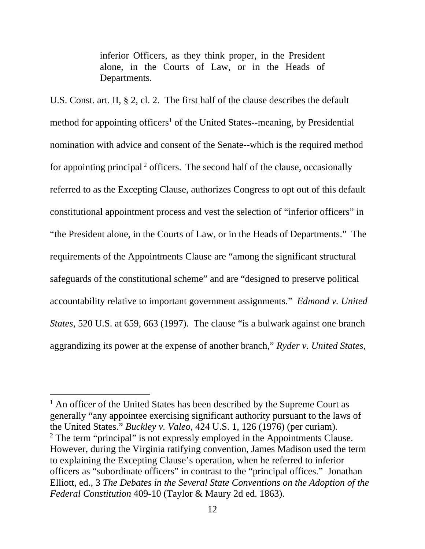inferior Officers, as they think proper, in the President alone, in the Courts of Law, or in the Heads of Departments.

U.S. Const. art. II, § 2, cl. 2. The first half of the clause describes the default method for appointing officers<sup>1</sup> of the United States--meaning, by Presidential nomination with advice and consent of the Senate--which is the required method for appointing principal  $2$  officers. The second half of the clause, occasionally referred to as the Excepting Clause, authorizes Congress to opt out of this default constitutional appointment process and vest the selection of "inferior officers" in "the President alone, in the Courts of Law, or in the Heads of Departments." The requirements of the Appointments Clause are "among the significant structural safeguards of the constitutional scheme" and are "designed to preserve political accountability relative to important government assignments." *Edmond v. United States*, 520 U.S. at 659, 663 (1997). The clause "is a bulwark against one branch aggrandizing its power at the expense of another branch," *Ryder v. United States*,

i<br>Li

<sup>&</sup>lt;sup>1</sup> An officer of the United States has been described by the Supreme Court as generally "any appointee exercising significant authority pursuant to the laws of the United States." *Buckley v. Valeo*, 424 U.S. 1, 126 (1976) (per curiam).  $2$  The term "principal" is not expressly employed in the Appointments Clause. However, during the Virginia ratifying convention, James Madison used the term to explaining the Excepting Clause's operation, when he referred to inferior officers as "subordinate officers" in contrast to the "principal offices." Jonathan Elliott, ed., 3 *The Debates in the Several State Conventions on the Adoption of the Federal Constitution* 409-10 (Taylor & Maury 2d ed. 1863).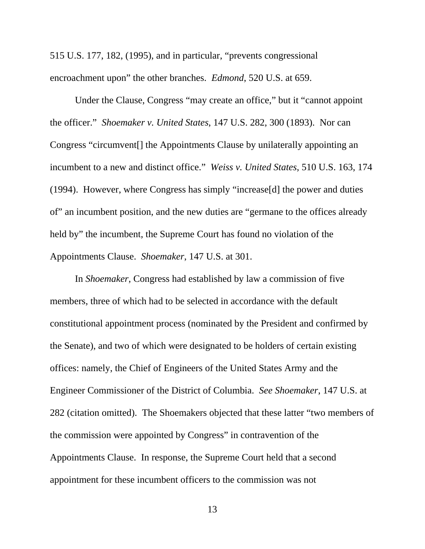515 U.S. 177, 182, (1995), and in particular, "prevents congressional encroachment upon" the other branches. *Edmond*, 520 U.S. at 659.

 Under the Clause, Congress "may create an office," but it "cannot appoint the officer." *Shoemaker v. United States*, 147 U.S. 282, 300 (1893). Nor can Congress "circumvent[] the Appointments Clause by unilaterally appointing an incumbent to a new and distinct office." *Weiss v. United States*, 510 U.S. 163, 174 (1994). However, where Congress has simply "increase[d] the power and duties of" an incumbent position, and the new duties are "germane to the offices already held by" the incumbent, the Supreme Court has found no violation of the Appointments Clause. *Shoemaker*, 147 U.S. at 301.

In *Shoemaker*, Congress had established by law a commission of five members, three of which had to be selected in accordance with the default constitutional appointment process (nominated by the President and confirmed by the Senate), and two of which were designated to be holders of certain existing offices: namely, the Chief of Engineers of the United States Army and the Engineer Commissioner of the District of Columbia. *See Shoemaker*, 147 U.S. at 282 (citation omitted). The Shoemakers objected that these latter "two members of the commission were appointed by Congress" in contravention of the Appointments Clause. In response, the Supreme Court held that a second appointment for these incumbent officers to the commission was not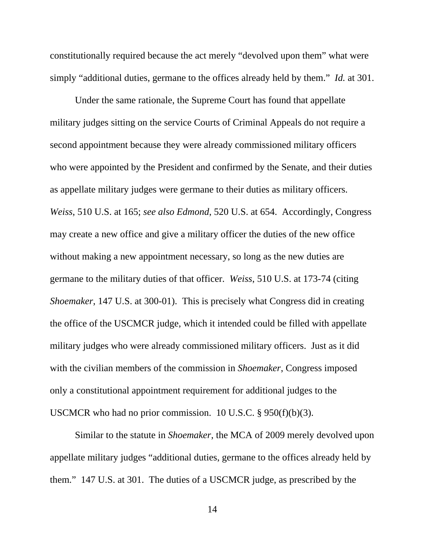constitutionally required because the act merely "devolved upon them" what were simply "additional duties, germane to the offices already held by them." *Id.* at 301.

Under the same rationale, the Supreme Court has found that appellate military judges sitting on the service Courts of Criminal Appeals do not require a second appointment because they were already commissioned military officers who were appointed by the President and confirmed by the Senate, and their duties as appellate military judges were germane to their duties as military officers. *Weiss*, 510 U.S. at 165; *see also Edmond*, 520 U.S. at 654. Accordingly, Congress may create a new office and give a military officer the duties of the new office without making a new appointment necessary, so long as the new duties are germane to the military duties of that officer. *Weiss*, 510 U.S. at 173-74 (citing *Shoemaker*, 147 U.S. at 300-01). This is precisely what Congress did in creating the office of the USCMCR judge, which it intended could be filled with appellate military judges who were already commissioned military officers. Just as it did with the civilian members of the commission in *Shoemaker*, Congress imposed only a constitutional appointment requirement for additional judges to the USCMCR who had no prior commission. 10 U.S.C. § 950(f)(b)(3).

Similar to the statute in *Shoemaker*, the MCA of 2009 merely devolved upon appellate military judges "additional duties, germane to the offices already held by them." 147 U.S. at 301. The duties of a USCMCR judge, as prescribed by the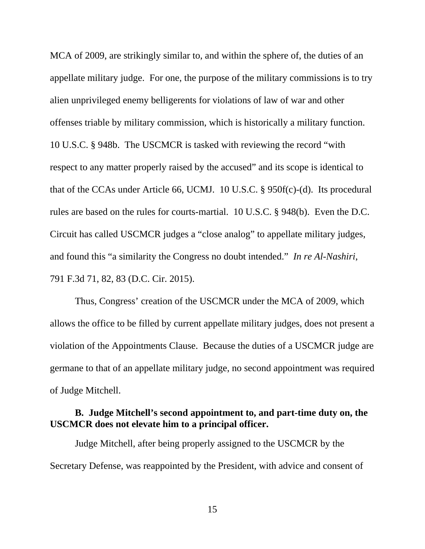MCA of 2009, are strikingly similar to, and within the sphere of, the duties of an appellate military judge. For one, the purpose of the military commissions is to try alien unprivileged enemy belligerents for violations of law of war and other offenses triable by military commission, which is historically a military function. 10 U.S.C. § 948b. The USCMCR is tasked with reviewing the record "with respect to any matter properly raised by the accused" and its scope is identical to that of the CCAs under Article 66, UCMJ. 10 U.S.C. § 950f(c)-(d). Its procedural rules are based on the rules for courts-martial. 10 U.S.C. § 948(b). Even the D.C. Circuit has called USCMCR judges a "close analog" to appellate military judges, and found this "a similarity the Congress no doubt intended." *In re Al-Nashiri*, 791 F.3d 71, 82, 83 (D.C. Cir. 2015).

Thus, Congress' creation of the USCMCR under the MCA of 2009, which allows the office to be filled by current appellate military judges, does not present a violation of the Appointments Clause. Because the duties of a USCMCR judge are germane to that of an appellate military judge, no second appointment was required of Judge Mitchell.

## **B. Judge Mitchell's second appointment to, and part-time duty on, the USCMCR does not elevate him to a principal officer.**

Judge Mitchell, after being properly assigned to the USCMCR by the Secretary Defense, was reappointed by the President, with advice and consent of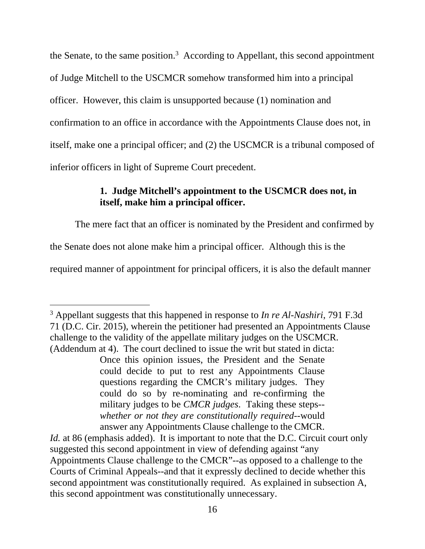the Senate, to the same position.<sup>3</sup> According to Appellant, this second appointment of Judge Mitchell to the USCMCR somehow transformed him into a principal officer. However, this claim is unsupported because (1) nomination and confirmation to an office in accordance with the Appointments Clause does not, in itself, make one a principal officer; and (2) the USCMCR is a tribunal composed of inferior officers in light of Supreme Court precedent.

## **1. Judge Mitchell's appointment to the USCMCR does not, in itself, make him a principal officer.**

The mere fact that an officer is nominated by the President and confirmed by

the Senate does not alone make him a principal officer. Although this is the

required manner of appointment for principal officers, it is also the default manner

i 3 Appellant suggests that this happened in response to *In re Al-Nashiri*, 791 F.3d 71 (D.C. Cir. 2015), wherein the petitioner had presented an Appointments Clause challenge to the validity of the appellate military judges on the USCMCR. (Addendum at 4). The court declined to issue the writ but stated in dicta:

Once this opinion issues, the President and the Senate could decide to put to rest any Appointments Clause questions regarding the CMCR's military judges. They could do so by re-nominating and re-confirming the military judges to be *CMCR judges*. Taking these steps- *whether or not they are constitutionally required*--would answer any Appointments Clause challenge to the CMCR.

*Id.* at 86 (emphasis added). It is important to note that the D.C. Circuit court only suggested this second appointment in view of defending against "any Appointments Clause challenge to the CMCR"--as opposed to a challenge to the Courts of Criminal Appeals--and that it expressly declined to decide whether this second appointment was constitutionally required. As explained in subsection A, this second appointment was constitutionally unnecessary.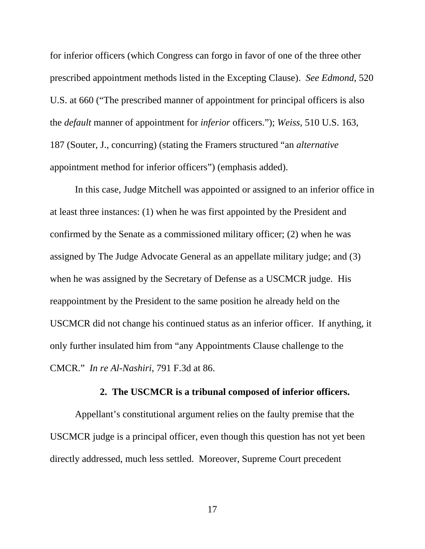for inferior officers (which Congress can forgo in favor of one of the three other prescribed appointment methods listed in the Excepting Clause). *See Edmond*, 520 U.S. at 660 ("The prescribed manner of appointment for principal officers is also the *default* manner of appointment for *inferior* officers."); *Weiss*, 510 U.S. 163, 187 (Souter, J., concurring) (stating the Framers structured "an *alternative* appointment method for inferior officers") (emphasis added).

In this case, Judge Mitchell was appointed or assigned to an inferior office in at least three instances: (1) when he was first appointed by the President and confirmed by the Senate as a commissioned military officer; (2) when he was assigned by The Judge Advocate General as an appellate military judge; and (3) when he was assigned by the Secretary of Defense as a USCMCR judge. His reappointment by the President to the same position he already held on the USCMCR did not change his continued status as an inferior officer. If anything, it only further insulated him from "any Appointments Clause challenge to the CMCR." *In re Al-Nashiri*, 791 F.3d at 86.

#### **2. The USCMCR is a tribunal composed of inferior officers.**

Appellant's constitutional argument relies on the faulty premise that the USCMCR judge is a principal officer, even though this question has not yet been directly addressed, much less settled. Moreover, Supreme Court precedent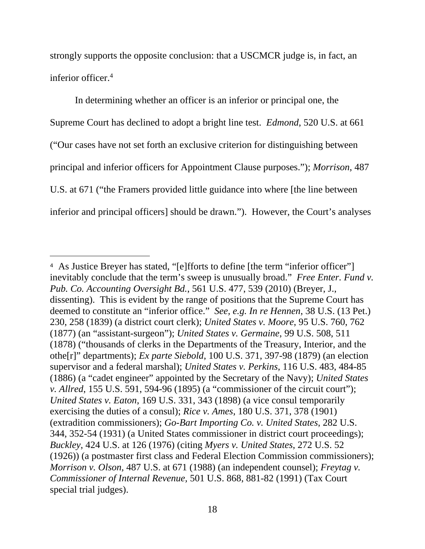strongly supports the opposite conclusion: that a USCMCR judge is, in fact, an inferior officer.4

In determining whether an officer is an inferior or principal one, the Supreme Court has declined to adopt a bright line test. *Edmond*, 520 U.S. at 661 ("Our cases have not set forth an exclusive criterion for distinguishing between principal and inferior officers for Appointment Clause purposes."); *Morrison*, 487 U.S. at 671 ("the Framers provided little guidance into where [the line between inferior and principal officers] should be drawn."). However, the Court's analyses

i<br>Li

<sup>&</sup>lt;sup>4</sup> As Justice Breyer has stated, "[e]fforts to define [the term "inferior officer"] inevitably conclude that the term's sweep is unusually broad." *Free Enter. Fund v. Pub. Co. Accounting Oversight Bd.*, 561 U.S. 477, 539 (2010) (Breyer, J., dissenting). This is evident by the range of positions that the Supreme Court has deemed to constitute an "inferior office." *See, e.g. In re Hennen*, 38 U.S. (13 Pet.) 230, 258 (1839) (a district court clerk); *United States v. Moore*, 95 U.S. 760, 762 (1877) (an "assistant-surgeon"); *United States v. Germaine*, 99 U.S. 508, 511 (1878) ("thousands of clerks in the Departments of the Treasury, Interior, and the othe[r]" departments); *Ex parte Siebold*, 100 U.S. 371, 397-98 (1879) (an election supervisor and a federal marshal); *United States v. Perkins*, 116 U.S. 483, 484-85 (1886) (a "cadet engineer" appointed by the Secretary of the Navy); *United States v. Allred*, 155 U.S. 591, 594-96 (1895) (a "commissioner of the circuit court"); *United States v. Eaton*, 169 U.S. 331, 343 (1898) (a vice consul temporarily exercising the duties of a consul); *Rice v. Ames*, 180 U.S. 371, 378 (1901) (extradition commissioners); *Go-Bart Importing Co. v. United States*, 282 U.S. 344, 352-54 (1931) (a United States commissioner in district court proceedings); *Buckley*, 424 U.S. at 126 (1976) (citing *Myers v. United States*, 272 U.S. 52 (1926)) (a postmaster first class and Federal Election Commission commissioners); *Morrison v. Olson*, 487 U.S. at 671 (1988) (an independent counsel); *Freytag v. Commissioner of Internal Revenue,* 501 U.S. 868, 881-82 (1991) (Tax Court special trial judges).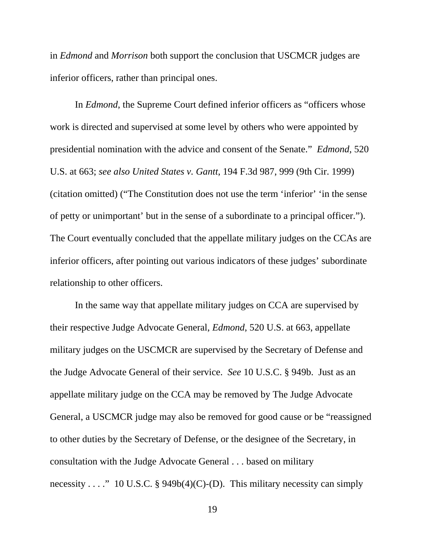in *Edmond* and *Morrison* both support the conclusion that USCMCR judges are inferior officers, rather than principal ones.

In *Edmond*, the Supreme Court defined inferior officers as "officers whose work is directed and supervised at some level by others who were appointed by presidential nomination with the advice and consent of the Senate." *Edmond*, 520 U.S. at 663; *see also United States v. Gantt*, 194 F.3d 987, 999 (9th Cir. 1999) (citation omitted) ("The Constitution does not use the term 'inferior' 'in the sense of petty or unimportant' but in the sense of a subordinate to a principal officer."). The Court eventually concluded that the appellate military judges on the CCAs are inferior officers, after pointing out various indicators of these judges' subordinate relationship to other officers.

In the same way that appellate military judges on CCA are supervised by their respective Judge Advocate General, *Edmond*, 520 U.S. at 663, appellate military judges on the USCMCR are supervised by the Secretary of Defense and the Judge Advocate General of their service. *See* 10 U.S.C. § 949b. Just as an appellate military judge on the CCA may be removed by The Judge Advocate General, a USCMCR judge may also be removed for good cause or be "reassigned to other duties by the Secretary of Defense, or the designee of the Secretary, in consultation with the Judge Advocate General . . . based on military necessity . . . . . . . 10 U.S.C. § 949b(4)(C)-(D). This military necessity can simply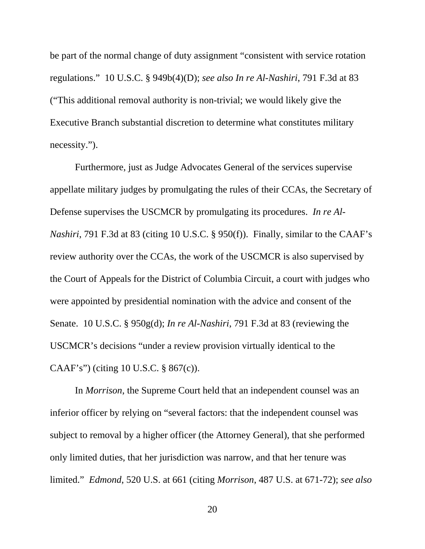be part of the normal change of duty assignment "consistent with service rotation regulations." 10 U.S.C. § 949b(4)(D); *see also In re Al-Nashiri*, 791 F.3d at 83 ("This additional removal authority is non-trivial; we would likely give the Executive Branch substantial discretion to determine what constitutes military necessity.").

Furthermore, just as Judge Advocates General of the services supervise appellate military judges by promulgating the rules of their CCAs, the Secretary of Defense supervises the USCMCR by promulgating its procedures. *In re Al-Nashiri*, 791 F.3d at 83 (citing 10 U.S.C. § 950(f)). Finally, similar to the CAAF's review authority over the CCAs, the work of the USCMCR is also supervised by the Court of Appeals for the District of Columbia Circuit, a court with judges who were appointed by presidential nomination with the advice and consent of the Senate. 10 U.S.C. § 950g(d); *In re Al-Nashiri*, 791 F.3d at 83 (reviewing the USCMCR's decisions "under a review provision virtually identical to the CAAF's") (citing 10 U.S.C. § 867(c)).

In *Morrison*, the Supreme Court held that an independent counsel was an inferior officer by relying on "several factors: that the independent counsel was subject to removal by a higher officer (the Attorney General), that she performed only limited duties, that her jurisdiction was narrow, and that her tenure was limited." *Edmond*, 520 U.S. at 661 (citing *Morrison*, 487 U.S. at 671-72); *see also*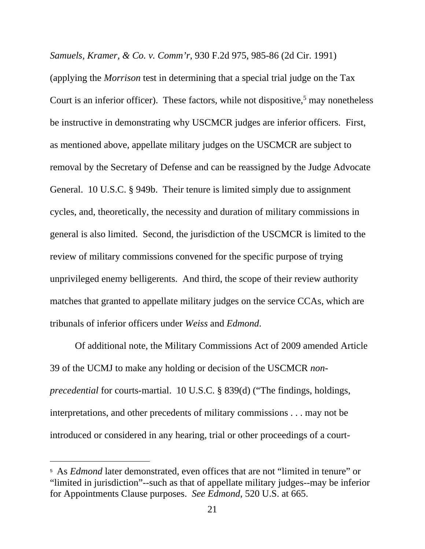*Samuels, Kramer, & Co. v. Comm'r*, 930 F.2d 975, 985-86 (2d Cir. 1991)

(applying the *Morrison* test in determining that a special trial judge on the Tax Court is an inferior officer). These factors, while not dispositive,<sup>5</sup> may nonetheless be instructive in demonstrating why USCMCR judges are inferior officers. First, as mentioned above, appellate military judges on the USCMCR are subject to removal by the Secretary of Defense and can be reassigned by the Judge Advocate General. 10 U.S.C. § 949b. Their tenure is limited simply due to assignment cycles, and, theoretically, the necessity and duration of military commissions in general is also limited. Second, the jurisdiction of the USCMCR is limited to the review of military commissions convened for the specific purpose of trying unprivileged enemy belligerents. And third, the scope of their review authority matches that granted to appellate military judges on the service CCAs, which are tribunals of inferior officers under *Weiss* and *Edmond*.

Of additional note, the Military Commissions Act of 2009 amended Article 39 of the UCMJ to make any holding or decision of the USCMCR *nonprecedential* for courts-martial. 10 U.S.C. § 839(d) ("The findings, holdings, interpretations, and other precedents of military commissions . . . may not be introduced or considered in any hearing, trial or other proceedings of a court-

i

<sup>&</sup>lt;sup>5</sup> As *Edmond* later demonstrated, even offices that are not "limited in tenure" or "limited in jurisdiction"--such as that of appellate military judges--may be inferior for Appointments Clause purposes. *See Edmond*, 520 U.S. at 665.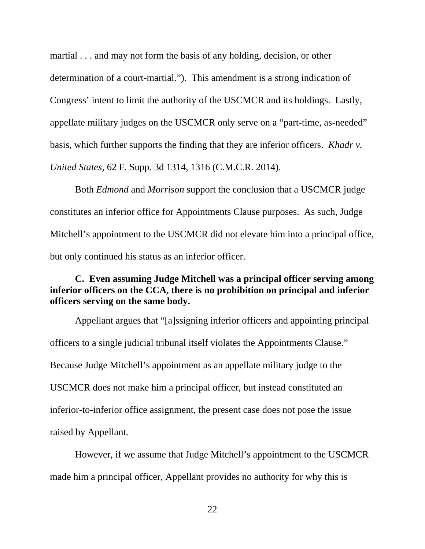martial . . . and may not form the basis of any holding, decision, or other determination of a court-martial."). This amendment is a strong indication of Congress' intent to limit the authority of the USCMCR and its holdings. Lastly, appellate military judges on the USCMCR only serve on a "part-time, as-needed" basis, which further supports the finding that they are inferior officers. *Khadr v. United States*, 62 F. Supp. 3d 1314, 1316 (C.M.C.R. 2014).

Both *Edmond* and *Morrison* support the conclusion that a USCMCR judge constitutes an inferior office for Appointments Clause purposes. As such, Judge Mitchell's appointment to the USCMCR did not elevate him into a principal office, but only continued his status as an inferior officer.

#### **C. Even assuming Judge Mitchell was a principal officer serving among inferior officers on the CCA, there is no prohibition on principal and inferior officers serving on the same body.**

Appellant argues that "[a]ssigning inferior officers and appointing principal officers to a single judicial tribunal itself violates the Appointments Clause." Because Judge Mitchell's appointment as an appellate military judge to the USCMCR does not make him a principal officer, but instead constituted an inferior-to-inferior office assignment, the present case does not pose the issue raised by Appellant.

However, if we assume that Judge Mitchell's appointment to the USCMCR made him a principal officer, Appellant provides no authority for why this is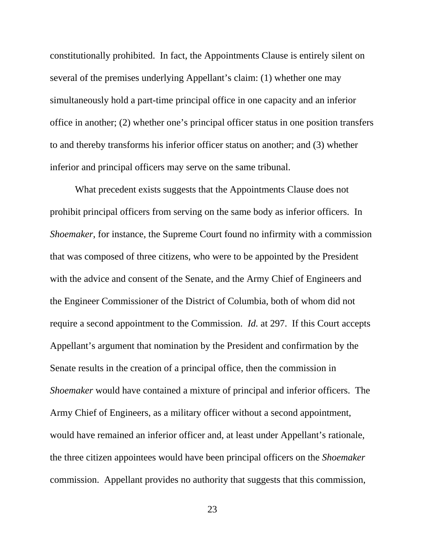constitutionally prohibited. In fact, the Appointments Clause is entirely silent on several of the premises underlying Appellant's claim: (1) whether one may simultaneously hold a part-time principal office in one capacity and an inferior office in another; (2) whether one's principal officer status in one position transfers to and thereby transforms his inferior officer status on another; and (3) whether inferior and principal officers may serve on the same tribunal.

What precedent exists suggests that the Appointments Clause does not prohibit principal officers from serving on the same body as inferior officers. In *Shoemaker*, for instance, the Supreme Court found no infirmity with a commission that was composed of three citizens, who were to be appointed by the President with the advice and consent of the Senate, and the Army Chief of Engineers and the Engineer Commissioner of the District of Columbia, both of whom did not require a second appointment to the Commission. *Id.* at 297. If this Court accepts Appellant's argument that nomination by the President and confirmation by the Senate results in the creation of a principal office, then the commission in *Shoemaker* would have contained a mixture of principal and inferior officers. The Army Chief of Engineers, as a military officer without a second appointment, would have remained an inferior officer and, at least under Appellant's rationale, the three citizen appointees would have been principal officers on the *Shoemaker* commission. Appellant provides no authority that suggests that this commission,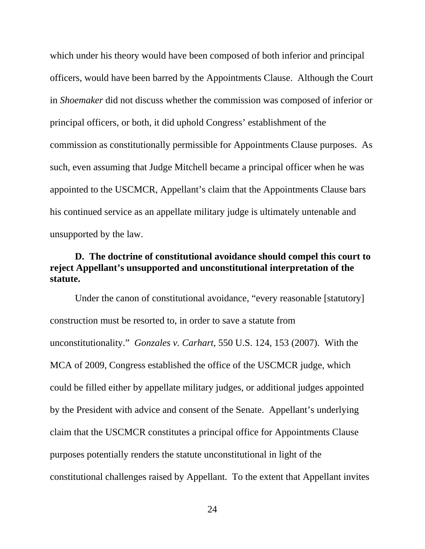which under his theory would have been composed of both inferior and principal officers, would have been barred by the Appointments Clause. Although the Court in *Shoemaker* did not discuss whether the commission was composed of inferior or principal officers, or both, it did uphold Congress' establishment of the commission as constitutionally permissible for Appointments Clause purposes. As such, even assuming that Judge Mitchell became a principal officer when he was appointed to the USCMCR, Appellant's claim that the Appointments Clause bars his continued service as an appellate military judge is ultimately untenable and unsupported by the law.

#### **D. The doctrine of constitutional avoidance should compel this court to reject Appellant's unsupported and unconstitutional interpretation of the statute.**

Under the canon of constitutional avoidance, "every reasonable [statutory] construction must be resorted to, in order to save a statute from unconstitutionality." *Gonzales v. Carhart*, 550 U.S. 124, 153 (2007). With the MCA of 2009, Congress established the office of the USCMCR judge, which could be filled either by appellate military judges, or additional judges appointed by the President with advice and consent of the Senate. Appellant's underlying claim that the USCMCR constitutes a principal office for Appointments Clause purposes potentially renders the statute unconstitutional in light of the constitutional challenges raised by Appellant. To the extent that Appellant invites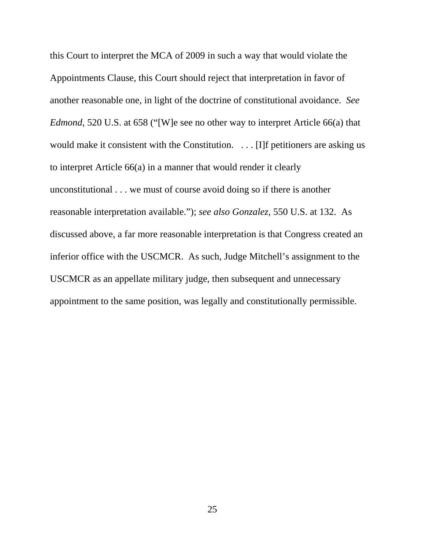this Court to interpret the MCA of 2009 in such a way that would violate the Appointments Clause, this Court should reject that interpretation in favor of another reasonable one, in light of the doctrine of constitutional avoidance. *See Edmond*, 520 U.S. at 658 ("[W]e see no other way to interpret Article 66(a) that would make it consistent with the Constitution. . . . [I]f petitioners are asking us to interpret Article 66(a) in a manner that would render it clearly unconstitutional . . . we must of course avoid doing so if there is another reasonable interpretation available."); *see also Gonzalez*, 550 U.S. at 132. As discussed above, a far more reasonable interpretation is that Congress created an inferior office with the USCMCR. As such, Judge Mitchell's assignment to the USCMCR as an appellate military judge, then subsequent and unnecessary appointment to the same position, was legally and constitutionally permissible.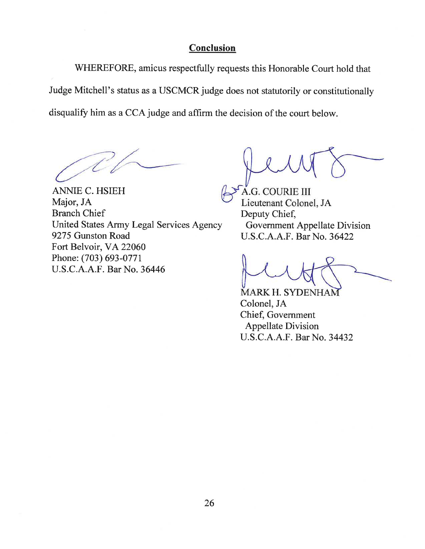### Conclusion

WHEREFORE, amicus respectfully requests this Honorable Court hold that Judge Mitchell's status as a USCMCR judge does not statutorily or constitutionally disqualify him as a CCA judge and affirm the decision of the court below.

**ANNIE C. HSIEH** Major, JA **Branch Chief** United States Army Legal Services Agency 9275 Gunston Road Fort Belvoir, VA 22060 Phone: (703) 693-0771 U.S.C.A.A.F. Bar No. 36446

A.G. COURIE III Lieutenant Colonel, JA Deputy Chief, Government Appellate Division U.S.C.A.A.F. Bar No. 36422

**MARK H. SYDENHAM** Colonel, JA Chief, Government **Appellate Division** U.S.C.A.A.F. Bar No. 34432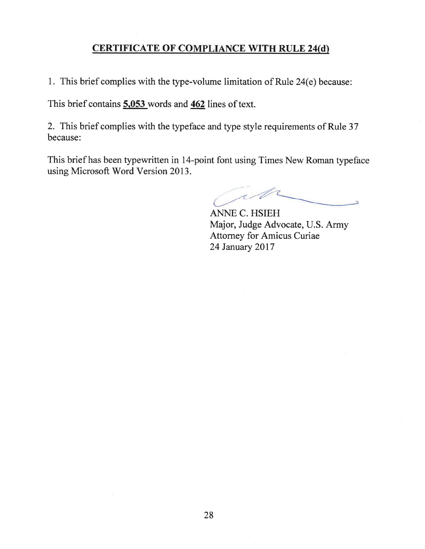### **CERTIFICATE OF COMPLIANCE WITH RULE 24(d)**

1. This brief complies with the type-volume limitation of Rule 24(e) because:

This brief contains 5,053 words and 462 lines of text.

2. This brief complies with the typeface and type style requirements of Rule 37 because:

This brief has been typewritten in 14-point font using Times New Roman typeface using Microsoft Word Version 2013.

W

**ANNE C. HSIEH** Major, Judge Advocate, U.S. Army **Attorney for Amicus Curiae** 24 January 2017